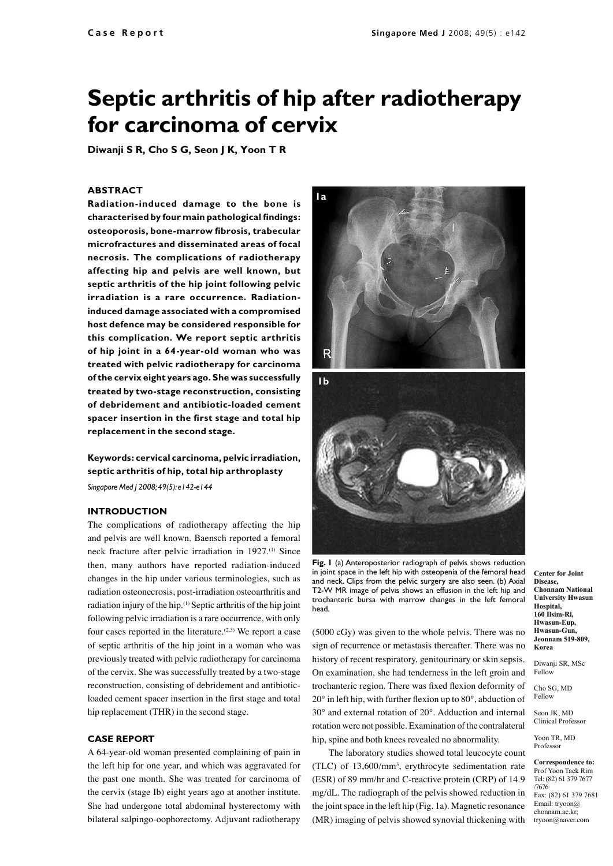# **Septic arthritis of hip after radiotherapy for carcinoma of cervix**

**Diwanji S R, Cho S G, Seon J K, Yoon T R**

## **ABSTRACT**

**Radiation-induced damage to the bone is characterised by four main pathological findings: osteoporosis, bone-marrow fibrosis, trabecular microfractures and disseminated areas of focal necrosis. The complications of radiotherapy affecting hip and pelvis are well known, but septic arthritis of the hip joint following pelvic irradiation is a rare occurrence. Radiationinduced damage associated with a compromised host defence may be considered responsible for this complication. We report septic arthritis of hip joint in a 64-year-old woman who was treated with pelvic radiotherapy for carcinoma of the cervix eight years ago. She was successfully treated by two-stage reconstruction, consisting of debridement and antibiotic-loaded cement spacer insertion in the first stage and total hip replacement in the second stage.**

**Keywords: cervical carcinoma, pelvic irradiation, septic arthritis of hip, total hip arthroplasty**

*Singapore Med J 2008; 49(5): e142-e144*

# **Introduction**

The complications of radiotherapy affecting the hip and pelvis are well known. Baensch reported a femoral neck fracture after pelvic irradiation in 1927.<sup>(1)</sup> Since then, many authors have reported radiation-induced changes in the hip under various terminologies, such as radiation osteonecrosis, post-irradiation osteoarthritis and radiation injury of the hip.(1) Septic arthritis of the hip joint following pelvic irradiation is a rare occurrence, with only four cases reported in the literature.<sup>(2,3)</sup> We report a case of septic arthritis of the hip joint in a woman who was previously treated with pelvic radiotherapy for carcinoma of the cervix. She was successfully treated by a two-stage reconstruction, consisting of debridement and antibioticloaded cement spacer insertion in the first stage and total hip replacement (THR) in the second stage.

#### **Case report**

A 64-year-old woman presented complaining of pain in the left hip for one year, and which was aggravated for the past one month. She was treated for carcinoma of the cervix (stage Ib) eight years ago at another institute. She had undergone total abdominal hysterectomy with bilateral salpingo-oophorectomy. Adjuvant radiotherapy



**Fig. 1** (a) Anteroposterior radiograph of pelvis shows reduction in joint space in the left hip with osteopenia of the femoral head and neck. Clips from the pelvic surgery are also seen. (b) Axial T2-W MR image of pelvis shows an effusion in the left hip and trochanteric bursa with marrow changes in the left femoral head.

(5000 cGy) was given to the whole pelvis. There was no sign of recurrence or metastasis thereafter. There was no history of recent respiratory, genitourinary or skin sepsis. On examination, she had tenderness in the left groin and trochanteric region. There was fixed flexion deformity of 20° in left hip, with further flexion up to 80°, abduction of 30° and external rotation of 20°. Adduction and internal rotation were not possible. Examination of the contralateral hip, spine and both knees revealed no abnormality.

The laboratory studies showed total leucocyte count  $(TLC)$  of 13,600/mm<sup>3</sup>, erythrocyte sedimentation rate (ESR) of 89 mm/hr and C-reactive protein (CRP) of 14.9 mg/dL. The radiograph of the pelvis showed reduction in the joint space in the left hip (Fig. 1a). Magnetic resonance (MR) imaging of pelvis showed synovial thickening with

**Center for Joint Disease, Chonnam National University Hwasun Hospital, 160 Ilsim-Ri, Hwasun-Eup, Hwasun-Gun, Jeonnam 519-809, Korea**

Diwanji SR, MSc Fellow

Cho SG, MD Fellow

Seon JK, MD Clinical Professor

Yoon TR, MD Professor

**Correspondence to:** Prof Yoon Taek Rim Tel: (82) 61 379 7677 /7676 Fax: (82) 61 379 7681 Email: tryoon@ chonnam.ac.kr; tryoon@naver.com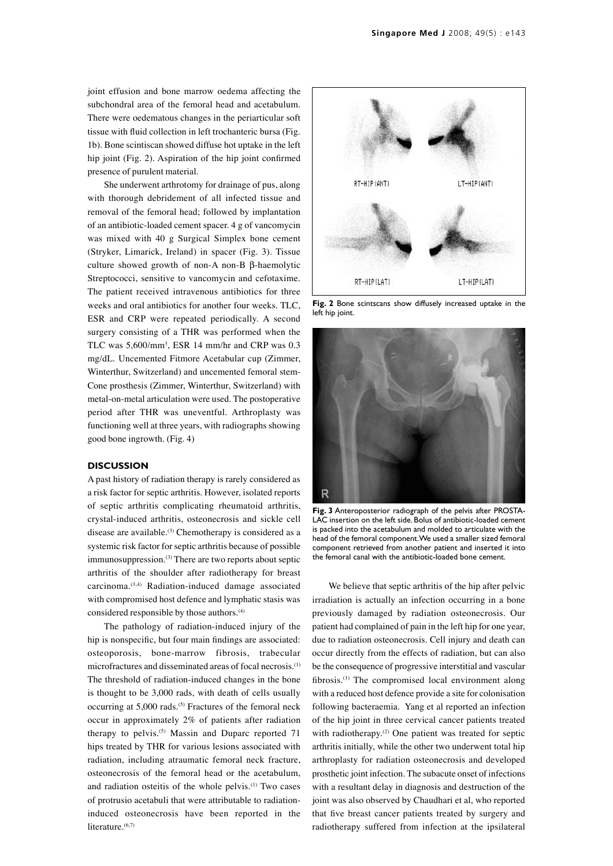joint effusion and bone marrow oedema affecting the subchondral area of the femoral head and acetabulum. There were oedematous changes in the periarticular soft tissue with fluid collection in left trochanteric bursa (Fig. 1b). Bone scintiscan showed diffuse hot uptake in the left hip joint (Fig. 2). Aspiration of the hip joint confirmed presence of purulent material.

She underwent arthrotomy for drainage of pus, along with thorough debridement of all infected tissue and removal of the femoral head; followed by implantation of an antibiotic-loaded cement spacer. 4 g of vancomycin was mixed with 40 g Surgical Simplex bone cement (Stryker, Limarick, Ireland) in spacer (Fig. 3). Tissue culture showed growth of non-A non-B β-haemolytic Streptococci, sensitive to vancomycin and cefotaxime. The patient received intravenous antibiotics for three weeks and oral antibiotics for another four weeks. TLC, ESR and CRP were repeated periodically. A second surgery consisting of a THR was performed when the TLC was  $5,600/\text{mm}^3$ , ESR 14 mm/hr and CRP was 0.3 mg/dL. Uncemented Fitmore Acetabular cup (Zimmer, Winterthur, Switzerland) and uncemented femoral stem-Cone prosthesis (Zimmer, Winterthur, Switzerland) with metal-on-metal articulation were used. The postoperative period after THR was uneventful. Arthroplasty was functioning well at three years, with radiographs showing good bone ingrowth. (Fig. 4)

#### **Discussion**

A past history of radiation therapy is rarely considered as a risk factor for septic arthritis. However, isolated reports of septic arthritis complicating rheumatoid arthritis, crystal-induced arthritis, osteonecrosis and sickle cell disease are available.<sup>(3)</sup> Chemotherapy is considered as a systemic risk factor for septic arthritis because of possible immunosuppression.<sup>(3)</sup> There are two reports about septic arthritis of the shoulder after radiotherapy for breast carcinoma.(3,4) Radiation-induced damage associated with compromised host defence and lymphatic stasis was considered responsible by those authors.<sup>(4)</sup>

The pathology of radiation-induced injury of the hip is nonspecific, but four main findings are associated: osteoporosis, bone-marrow fibrosis, trabecular microfractures and disseminated areas of focal necrosis.(1) The threshold of radiation-induced changes in the bone is thought to be 3,000 rads, with death of cells usually occurring at  $5,000$  rads.<sup>(5)</sup> Fractures of the femoral neck occur in approximately 2% of patients after radiation therapy to pelvis.<sup> $(5)$ </sup> Massin and Duparc reported 71 hips treated by THR for various lesions associated with radiation, including atraumatic femoral neck fracture, osteonecrosis of the femoral head or the acetabulum, and radiation osteitis of the whole pelvis.<sup>(1)</sup> Two cases of protrusio acetabuli that were attributable to radiationinduced osteonecrosis have been reported in the literature.<sup>(6,7)</sup>



**Fig. 2** Bone scintscans show diffusely increased uptake in the left hip joint.



**Fig. 3** Anteroposterior radiograph of the pelvis after PROSTA-LAC insertion on the left side. Bolus of antibiotic-loaded cement is packed into the acetabulum and molded to articulate with the head of the femoral component. We used a smaller sized femoral component retrieved from another patient and inserted it into the femoral canal with the antibiotic-loaded bone cement.

We believe that septic arthritis of the hip after pelvic irradiation is actually an infection occurring in a bone previously damaged by radiation osteonecrosis. Our patient had complained of pain in the left hip for one year, due to radiation osteonecrosis. Cell injury and death can occur directly from the effects of radiation, but can also be the consequence of progressive interstitial and vascular fibrosis.<sup>(1)</sup> The compromised local environment along with a reduced host defence provide a site for colonisation following bacteraemia. Yang et al reported an infection of the hip joint in three cervical cancer patients treated with radiotherapy.<sup>(2)</sup> One patient was treated for septic arthritis initially, while the other two underwent total hip arthroplasty for radiation osteonecrosis and developed prosthetic joint infection. The subacute onset of infections with a resultant delay in diagnosis and destruction of the joint was also observed by Chaudhari et al, who reported that five breast cancer patients treated by surgery and radiotherapy suffered from infection at the ipsilateral